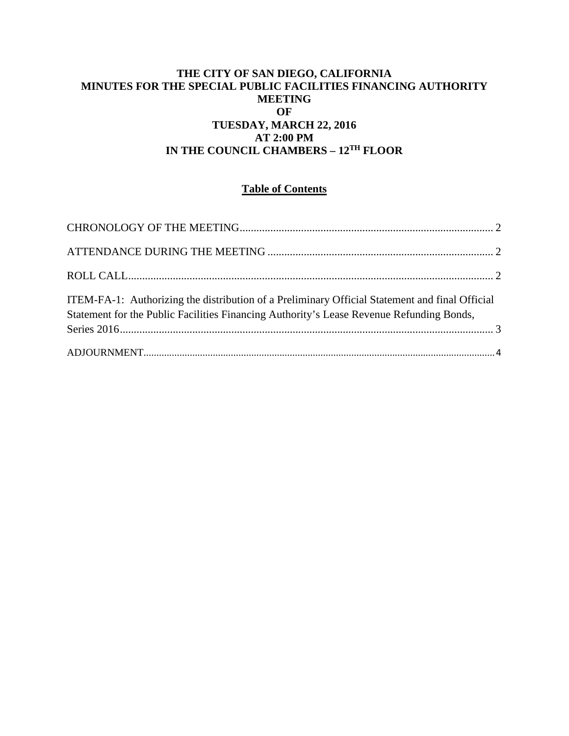## **THE CITY OF SAN DIEGO, CALIFORNIA MINUTES FOR THE SPECIAL PUBLIC FACILITIES FINANCING AUTHORITY MEETING OF TUESDAY, MARCH 22, 2016 AT 2:00 PM IN THE COUNCIL CHAMBERS – 12TH FLOOR**

# **Table of Contents**

| ITEM-FA-1: Authorizing the distribution of a Preliminary Official Statement and final Official<br>Statement for the Public Facilities Financing Authority's Lease Revenue Refunding Bonds, |  |
|--------------------------------------------------------------------------------------------------------------------------------------------------------------------------------------------|--|
|                                                                                                                                                                                            |  |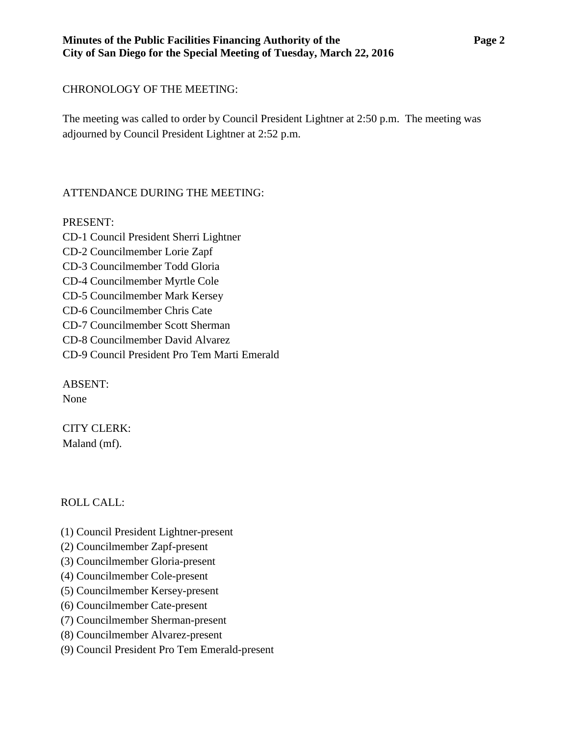### **Minutes of the Public Facilities Financing Authority of the Page 2 City of San Diego for the Special Meeting of Tuesday, March 22, 2016**

## <span id="page-1-0"></span>CHRONOLOGY OF THE MEETING:

The meeting was called to order by Council President Lightner at 2:50 p.m. The meeting was adjourned by Council President Lightner at 2:52 p.m.

# <span id="page-1-1"></span>ATTENDANCE DURING THE MEETING:

### PRESENT:

CD-1 Council President Sherri Lightner CD-2 Councilmember Lorie Zapf CD-3 Councilmember Todd Gloria CD-4 Councilmember Myrtle Cole CD-5 Councilmember Mark Kersey CD-6 Councilmember Chris Cate CD-7 Councilmember Scott Sherman CD-8 Councilmember David Alvarez CD-9 Council President Pro Tem Marti Emerald

ABSENT: None

CITY CLERK: Maland (mf).

## <span id="page-1-2"></span>ROLL CALL:

- (1) Council President Lightner-present
- (2) Councilmember Zapf-present
- (3) Councilmember Gloria-present
- (4) Councilmember Cole-present
- (5) Councilmember Kersey-present
- (6) Councilmember Cate-present
- (7) Councilmember Sherman-present
- (8) Councilmember Alvarez-present
- (9) Council President Pro Tem Emerald-present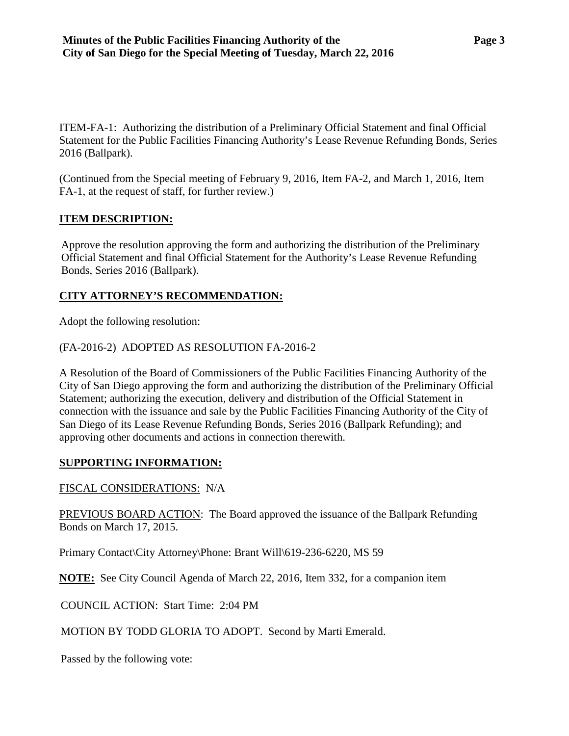<span id="page-2-0"></span>ITEM-FA-1: Authorizing the distribution of a Preliminary Official Statement and final Official Statement for the Public Facilities Financing Authority's Lease Revenue Refunding Bonds, Series 2016 (Ballpark).

(Continued from the Special meeting of February 9, 2016, Item FA-2, and March 1, 2016, Item FA-1, at the request of staff, for further review.)

### **ITEM DESCRIPTION:**

Approve the resolution approving the form and authorizing the distribution of the Preliminary Official Statement and final Official Statement for the Authority's Lease Revenue Refunding Bonds, Series 2016 (Ballpark).

### **CITY ATTORNEY'S RECOMMENDATION:**

Adopt the following resolution:

### (FA-2016-2) ADOPTED AS RESOLUTION FA-2016-2

A Resolution of the Board of Commissioners of the Public Facilities Financing Authority of the City of San Diego approving the form and authorizing the distribution of the Preliminary Official Statement; authorizing the execution, delivery and distribution of the Official Statement in connection with the issuance and sale by the Public Facilities Financing Authority of the City of San Diego of its Lease Revenue Refunding Bonds, Series 2016 (Ballpark Refunding); and approving other documents and actions in connection therewith.

#### **SUPPORTING INFORMATION:**

#### FISCAL CONSIDERATIONS: N/A

PREVIOUS BOARD ACTION: The Board approved the issuance of the Ballpark Refunding Bonds on March 17, 2015.

Primary Contact\City Attorney\Phone: Brant Will\619-236-6220, MS 59

**NOTE:** See City Council Agenda of March 22, 2016, Item 332, for a companion item

COUNCIL ACTION: Start Time: 2:04 PM

MOTION BY TODD GLORIA TO ADOPT. Second by Marti Emerald.

Passed by the following vote: